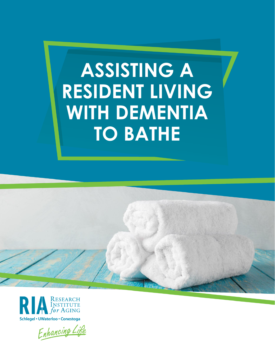# **ASSISTING A RESIDENT LIVING WITH DEMENTIA TO BATHE**





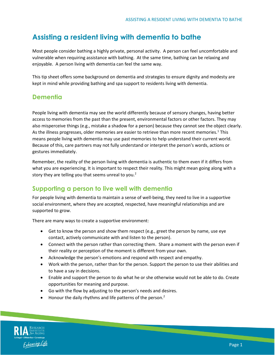## **Assisting a resident living with dementia to bathe**

Most people consider bathing a highly private, personal activity. A person can feel uncomfortable and vulnerable when requiring assistance with bathing. At the same time, bathing can be relaxing and enjoyable. A person living with dementia can feel the same way.

This tip sheet offers some background on dementia and strategies to ensure dignity and modesty are kept in mind while providing bathing and spa support to residents living with dementia.

#### **Dementia**

People living with dementia may see the world differently because of sensory changes, having better access to memories from the past than the present, environmental factors or other factors. They may also misperceive things (e.g., mistake a shadow for a person) because they cannot see the object clearly. As the illness progresses, older memories are easier to retrieve than more recent memories.<sup>1</sup> This means people living with dementia may use past memories to help understand their current world. Because of this, care partners may not fully understand or interpret the person's words, actions or gestures immediately.

Remember, the reality of the person living with dementia is authentic to them even if it differs from what you are experiencing. It is important to respect their reality. This might mean going along with a story they are telling you that seems unreal to you.<sup>2</sup>

### **Supporting a person to live well with dementia**

For people living with dementia to maintain a sense of well-being, they need to live in a supportive social environment, where they are accepted, respected, have meaningful relationships and are supported to grow.

There are many ways to create a supportive environment:

- Get to know the person and show them respect (e.g., greet the person by name, use eye contact, actively communicate with and listen to the person).
- Connect with the person rather than correcting them. Share a moment with the person even if their reality or perception of the moment is different from your own.
- Acknowledge the person's emotions and respond with respect and empathy.
- Work with the person, rather than for the person. Support the person to use their abilities and to have a say in decisions.
- Enable and support the person to do what he or she otherwise would not be able to do. Create opportunities for meaning and purpose.
- Go with the flow by adjusting to the person's needs and desires.
- $\bullet$  Honour the daily rhythms and life patterns of the person.<sup>2</sup>

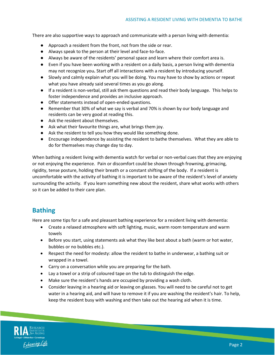There are also supportive ways to approach and communicate with a person living with dementia:

- Approach a resident from the front, not from the side or rear.
- Always speak to the person at their level and face-to-face.
- Always be aware of the residents' personal space and learn where their comfort area is.
- Even if you have been working with a resident on a daily basis, a person living with dementia may not recognize you**.** Start off all interactions with a resident by introducing yourself.
- Slowly and calmly explain what you will be doing. You may have to show by actions or repeat what you have already said several times as you go along.
- If a resident is non-verbal, still ask them questions and read their body language. This helps to foster independence and provides an inclusive approach.
- Offer statements instead of open-ended questions.
- Remember that 30% of what we say is verbal and 70% is shown by our body language and residents can be very good at reading this.
- Ask the resident about themselves.
- Ask what their favourite things are, what brings them joy.
- Ask the resident to tell you how they would like something done.
- Encourage independence by assisting the resident to bathe themselves. What they are able to do for themselves may change day to day.

When bathing a resident living with dementia watch for verbal or non-verbal cues that they are enjoying or not enjoying the experience. Pain or discomfort could be shown through frowning, grimacing, rigidity, tense posture, holding their breath or a constant shifting of the body. If a resident is uncomfortable with the activity of bathing it is important to be aware of the resident's level of anxiety surrounding the activity. If you learn something new about the resident, share what works with others so it can be added to their care plan.

### **Bathing**

Here are some tips for a safe and pleasant bathing experience for a resident living with dementia:

- Create a relaxed atmosphere with soft lighting, music, warm room temperature and warm towels
- Before you start, using statements ask what they like best about a bath (warm or hot water, bubbles or no bubbles etc.).
- Respect the need for modesty: allow the resident to bathe in underwear, a bathing suit or wrapped in a towel.
- Carry on a conversation while you are preparing for the bath.
- Lay a towel or a strip of coloured tape on the tub to distinguish the edge.
- Make sure the resident's hands are occupied by providing a wash cloth.
- Consider leaving in a hearing aid or leaving on glasses. You will need to be careful not to get water in a hearing aid, and will have to remove it if you are washing the resident's hair. To help, keep the resident busy with washing and then take out the hearing aid when it is time.

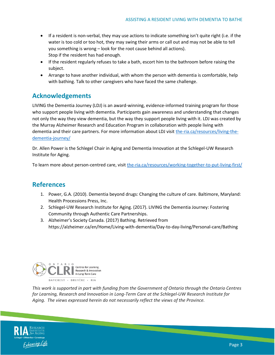- If a resident is non-verbal, they may use actions to indicate something isn't quite right (i.e. if the water is too cold or too hot, they may swing their arms or call out and may not be able to tell you something is wrong – look for the root cause behind all actions). Stop if the resident has had enough.
- If the resident regularly refuses to take a bath, escort him to the bathroom before raising the subject.
- Arrange to have another individual, with whom the person with dementia is comfortable, help with bathing. Talk to other caregivers who have faced the same challenge.

### **Acknowledgements**

LIVING the Dementia Journey (LDJ) is an award-winning, evidence-informed training program for those who support people living with dementia. Participants gain awareness and understanding that changes not only the way they view dementia, but the way they support people living with it. LDJ was created by the Murray Alzheimer Research and Education Program in collaboration with people living with dementia and their care partners. For more information about LDJ visit [the-ria.ca/resources/living-the](https://the-ria.ca/resources/living-the-dementia-journey/)[dementia-journey/](https://the-ria.ca/resources/living-the-dementia-journey/)

Dr. Allen Power is the Schlegel Chair in Aging and Dementia Innovation at the Schlegel-UW Research Institute for Aging.

To learn more about person-centred care, visi[t the-ria.ca/resources/working-together-to-put-living-first/](https://the-ria.ca/resources/working-together-to-put-living-first/)

### **References**

- 1. Power, G.A. (2010). Dementia beyond drugs: Changing the culture of care. Baltimore, Maryland: Health Processions Press, Inc.
- 2. Schlegel-UW Research Institute for Aging. (2017). LIVING the Dementia Journey: Fostering Community through Authentic Care Partnerships.
- 3. Alzheimer's Society Canada. (2017) Bathing. Retrieved from https://alzheimer.ca/en/Home/Living-with-dementia/Day-to-day-living/Personal-care/Bathing



*This work is supported in part with funding from the Government of Ontario through the Ontario Centres for Learning, Research and Innovation in Long-Term Care at the Schlegel-UW Research Institute for Aging. The views expressed herein do not necessarily reflect the views of the Province.*